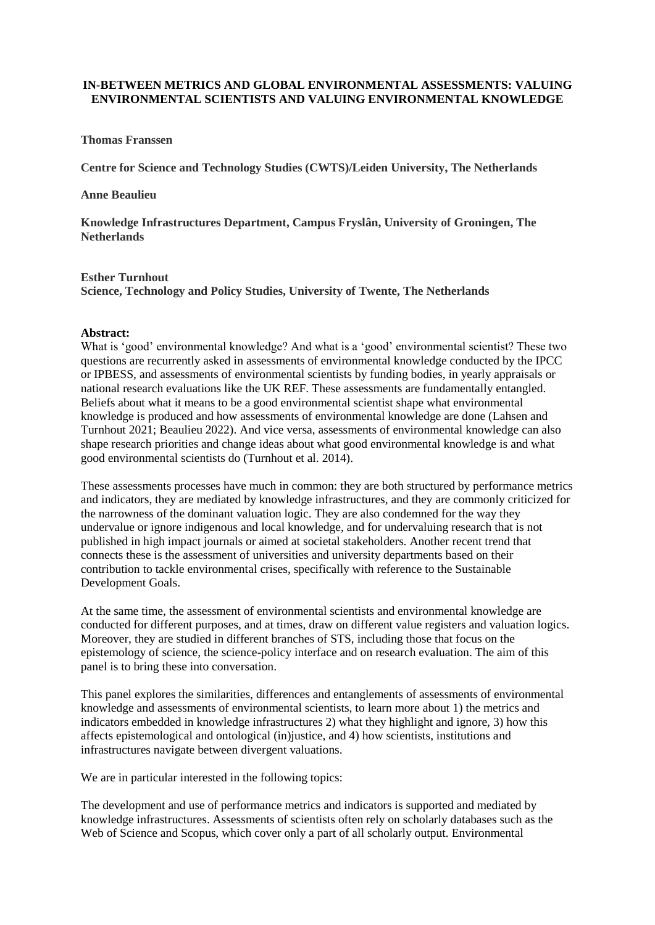# **IN-BETWEEN METRICS AND GLOBAL ENVIRONMENTAL ASSESSMENTS: VALUING ENVIRONMENTAL SCIENTISTS AND VALUING ENVIRONMENTAL KNOWLEDGE**

## **Thomas Franssen**

**Centre for Science and Technology Studies (CWTS)/Leiden University, The Netherlands** 

### **Anne Beaulieu**

**Knowledge Infrastructures Department, Campus Fryslân, University of Groningen, The Netherlands**

#### **Esther Turnhout**

**Science, Technology and Policy Studies, University of Twente, The Netherlands**

## **Abstract:**

What is 'good' environmental knowledge? And what is a 'good' environmental scientist? These two questions are recurrently asked in assessments of environmental knowledge conducted by the IPCC or IPBESS, and assessments of environmental scientists by funding bodies, in yearly appraisals or national research evaluations like the UK REF. These assessments are fundamentally entangled. Beliefs about what it means to be a good environmental scientist shape what environmental knowledge is produced and how assessments of environmental knowledge are done (Lahsen and Turnhout 2021; Beaulieu 2022). And vice versa, assessments of environmental knowledge can also shape research priorities and change ideas about what good environmental knowledge is and what good environmental scientists do (Turnhout et al. 2014).

These assessments processes have much in common: they are both structured by performance metrics and indicators, they are mediated by knowledge infrastructures, and they are commonly criticized for the narrowness of the dominant valuation logic. They are also condemned for the way they undervalue or ignore indigenous and local knowledge, and for undervaluing research that is not published in high impact journals or aimed at societal stakeholders. Another recent trend that connects these is the assessment of universities and university departments based on their contribution to tackle environmental crises, specifically with reference to the Sustainable Development Goals.

At the same time, the assessment of environmental scientists and environmental knowledge are conducted for different purposes, and at times, draw on different value registers and valuation logics. Moreover, they are studied in different branches of STS, including those that focus on the epistemology of science, the science-policy interface and on research evaluation. The aim of this panel is to bring these into conversation.

This panel explores the similarities, differences and entanglements of assessments of environmental knowledge and assessments of environmental scientists, to learn more about 1) the metrics and indicators embedded in knowledge infrastructures 2) what they highlight and ignore, 3) how this affects epistemological and ontological (in)justice, and 4) how scientists, institutions and infrastructures navigate between divergent valuations.

We are in particular interested in the following topics:

The development and use of performance metrics and indicators is supported and mediated by knowledge infrastructures. Assessments of scientists often rely on scholarly databases such as the Web of Science and Scopus, which cover only a part of all scholarly output. Environmental